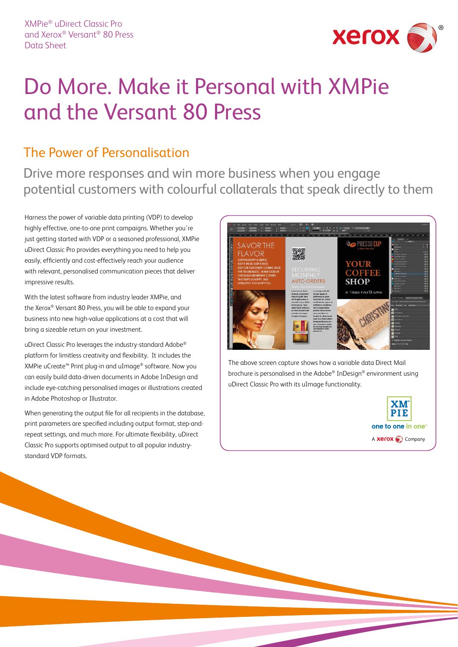

## Do More. Make it Personal with XMPie and the Versant 80 Press

### The Power of Personalisation

Drive more responses and win more business when you engage potential customers with colourful collaterals that speak directly to them

Harness the power of variable data printing (VDP) to develop highly effective, one-to-one print campaigns. Whether you're just getting started with VDP or a seasoned professional, XMPie uDirect Classic Pro provides everything you need to help you easily, efficiently and cost-effectively reach your audience with relevant, personalised communication pieces that deliver impressive results.

With the latest software from industry leader XMPie, and the Xerox® Versant 80 Press, you will be able to expand your business into new high-value applications at a cost that will bring a sizeable return on your investment.

uDirect Classic Pro leverages the industry-standard Adobe® platform for limitless creativity and flexibility. It includes the XMPie uCreate™ Print plug-in and uImage® software. Now you can easily build data-driven documents in Adobe InDesign and include eye-catching personalised images or illustrations created in Adobe Photoshop or Illustrator.

When generating the output file for all recipients in the database, print parameters are specified including output format, step-andrepeat settings, and much more. For ultimate flexibility, uDirect Classic Pro supports optimised output to all popular industrystandard VDP formats.



The above screen capture shows how a variable data Direct Mail brochure is personalised in the Adobe® InDesign® environment using uDirect Classic Pro with its uImage functionality.